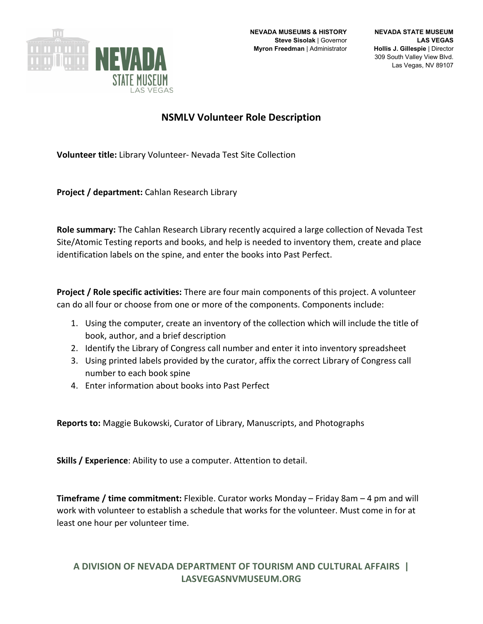

## **NSMLV Volunteer Role Description**

**Volunteer title:** Library Volunteer- Nevada Test Site Collection

**Project / department:** Cahlan Research Library

**Role summary:** The Cahlan Research Library recently acquired a large collection of Nevada Test Site/Atomic Testing reports and books, and help is needed to inventory them, create and place identification labels on the spine, and enter the books into Past Perfect.

**Project / Role specific activities:** There are four main components of this project. A volunteer can do all four or choose from one or more of the components. Components include:

- 1. Using the computer, create an inventory of the collection which will include the title of book, author, and a brief description
- 2. Identify the Library of Congress call number and enter it into inventory spreadsheet
- 3. Using printed labels provided by the curator, affix the correct Library of Congress call number to each book spine
- 4. Enter information about books into Past Perfect

**Reports to:** Maggie Bukowski, Curator of Library, Manuscripts, and Photographs

**Skills / Experience**: Ability to use a computer. Attention to detail.

**Timeframe / time commitment:** Flexible. Curator works Monday – Friday 8am – 4 pm and will work with volunteer to establish a schedule that works for the volunteer. Must come in for at least one hour per volunteer time.

## **A DIVISION OF NEVADA DEPARTMENT OF TOURISM AND CULTURAL AFFAIRS | LASVEGASNVMUSEUM.ORG**